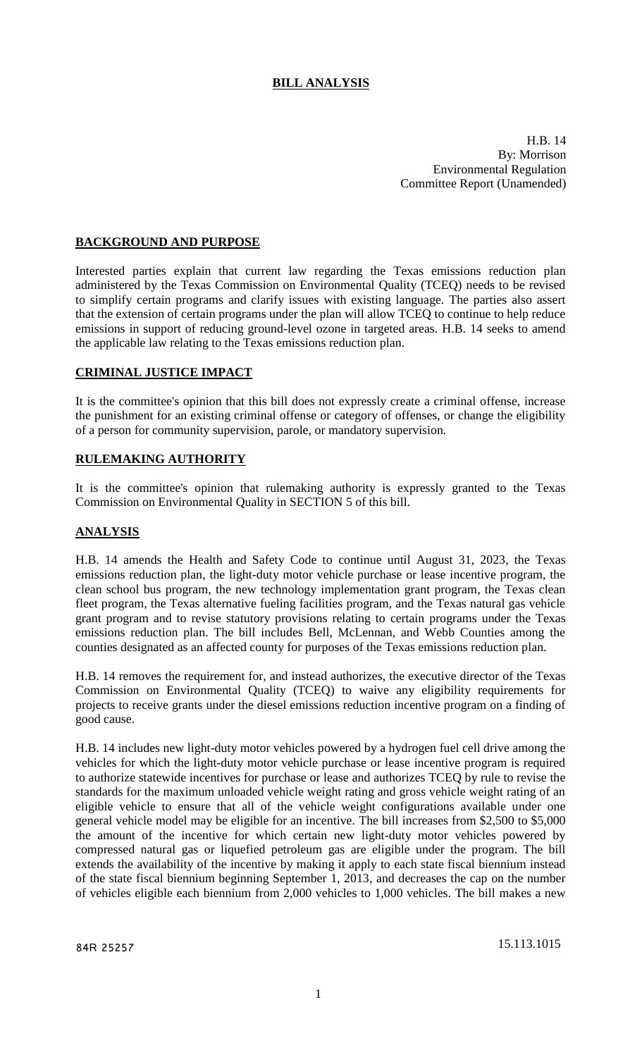# **BILL ANALYSIS**

H.B. 14 By: Morrison Environmental Regulation Committee Report (Unamended)

### **BACKGROUND AND PURPOSE**

Interested parties explain that current law regarding the Texas emissions reduction plan administered by the Texas Commission on Environmental Quality (TCEQ) needs to be revised to simplify certain programs and clarify issues with existing language. The parties also assert that the extension of certain programs under the plan will allow TCEQ to continue to help reduce emissions in support of reducing ground-level ozone in targeted areas. H.B. 14 seeks to amend the applicable law relating to the Texas emissions reduction plan.

#### **CRIMINAL JUSTICE IMPACT**

It is the committee's opinion that this bill does not expressly create a criminal offense, increase the punishment for an existing criminal offense or category of offenses, or change the eligibility of a person for community supervision, parole, or mandatory supervision.

### **RULEMAKING AUTHORITY**

It is the committee's opinion that rulemaking authority is expressly granted to the Texas Commission on Environmental Quality in SECTION 5 of this bill.

#### **ANALYSIS**

H.B. 14 amends the Health and Safety Code to continue until August 31, 2023, the Texas emissions reduction plan, the light-duty motor vehicle purchase or lease incentive program, the clean school bus program, the new technology implementation grant program, the Texas clean fleet program, the Texas alternative fueling facilities program, and the Texas natural gas vehicle grant program and to revise statutory provisions relating to certain programs under the Texas emissions reduction plan. The bill includes Bell, McLennan, and Webb Counties among the counties designated as an affected county for purposes of the Texas emissions reduction plan.

H.B. 14 removes the requirement for, and instead authorizes, the executive director of the Texas Commission on Environmental Quality (TCEQ) to waive any eligibility requirements for projects to receive grants under the diesel emissions reduction incentive program on a finding of good cause.

H.B. 14 includes new light-duty motor vehicles powered by a hydrogen fuel cell drive among the vehicles for which the light-duty motor vehicle purchase or lease incentive program is required to authorize statewide incentives for purchase or lease and authorizes TCEQ by rule to revise the standards for the maximum unloaded vehicle weight rating and gross vehicle weight rating of an eligible vehicle to ensure that all of the vehicle weight configurations available under one general vehicle model may be eligible for an incentive. The bill increases from \$2,500 to \$5,000 the amount of the incentive for which certain new light-duty motor vehicles powered by compressed natural gas or liquefied petroleum gas are eligible under the program. The bill extends the availability of the incentive by making it apply to each state fiscal biennium instead of the state fiscal biennium beginning September 1, 2013, and decreases the cap on the number of vehicles eligible each biennium from 2,000 vehicles to 1,000 vehicles. The bill makes a new

84R 25257 15.113.1015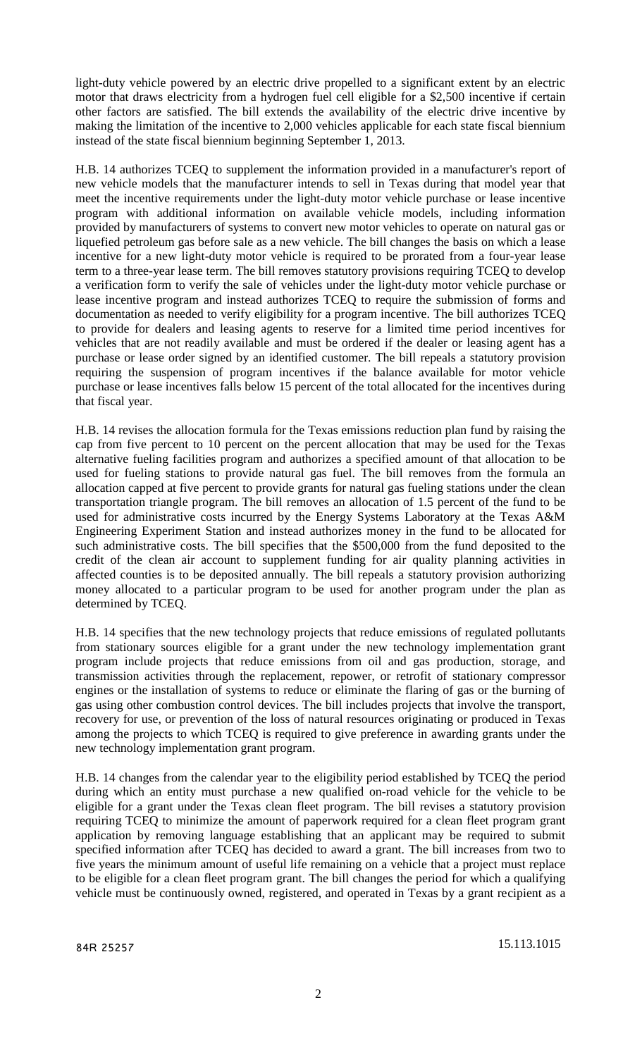light-duty vehicle powered by an electric drive propelled to a significant extent by an electric motor that draws electricity from a hydrogen fuel cell eligible for a \$2,500 incentive if certain other factors are satisfied. The bill extends the availability of the electric drive incentive by making the limitation of the incentive to 2,000 vehicles applicable for each state fiscal biennium instead of the state fiscal biennium beginning September 1, 2013.

H.B. 14 authorizes TCEQ to supplement the information provided in a manufacturer's report of new vehicle models that the manufacturer intends to sell in Texas during that model year that meet the incentive requirements under the light-duty motor vehicle purchase or lease incentive program with additional information on available vehicle models, including information provided by manufacturers of systems to convert new motor vehicles to operate on natural gas or liquefied petroleum gas before sale as a new vehicle. The bill changes the basis on which a lease incentive for a new light-duty motor vehicle is required to be prorated from a four-year lease term to a three-year lease term. The bill removes statutory provisions requiring TCEQ to develop a verification form to verify the sale of vehicles under the light-duty motor vehicle purchase or lease incentive program and instead authorizes TCEQ to require the submission of forms and documentation as needed to verify eligibility for a program incentive. The bill authorizes TCEQ to provide for dealers and leasing agents to reserve for a limited time period incentives for vehicles that are not readily available and must be ordered if the dealer or leasing agent has a purchase or lease order signed by an identified customer. The bill repeals a statutory provision requiring the suspension of program incentives if the balance available for motor vehicle purchase or lease incentives falls below 15 percent of the total allocated for the incentives during that fiscal year.

H.B. 14 revises the allocation formula for the Texas emissions reduction plan fund by raising the cap from five percent to 10 percent on the percent allocation that may be used for the Texas alternative fueling facilities program and authorizes a specified amount of that allocation to be used for fueling stations to provide natural gas fuel. The bill removes from the formula an allocation capped at five percent to provide grants for natural gas fueling stations under the clean transportation triangle program. The bill removes an allocation of 1.5 percent of the fund to be used for administrative costs incurred by the Energy Systems Laboratory at the Texas A&M Engineering Experiment Station and instead authorizes money in the fund to be allocated for such administrative costs. The bill specifies that the \$500,000 from the fund deposited to the credit of the clean air account to supplement funding for air quality planning activities in affected counties is to be deposited annually. The bill repeals a statutory provision authorizing money allocated to a particular program to be used for another program under the plan as determined by TCEQ.

H.B. 14 specifies that the new technology projects that reduce emissions of regulated pollutants from stationary sources eligible for a grant under the new technology implementation grant program include projects that reduce emissions from oil and gas production, storage, and transmission activities through the replacement, repower, or retrofit of stationary compressor engines or the installation of systems to reduce or eliminate the flaring of gas or the burning of gas using other combustion control devices. The bill includes projects that involve the transport, recovery for use, or prevention of the loss of natural resources originating or produced in Texas among the projects to which TCEQ is required to give preference in awarding grants under the new technology implementation grant program.

H.B. 14 changes from the calendar year to the eligibility period established by TCEQ the period during which an entity must purchase a new qualified on-road vehicle for the vehicle to be eligible for a grant under the Texas clean fleet program. The bill revises a statutory provision requiring TCEQ to minimize the amount of paperwork required for a clean fleet program grant application by removing language establishing that an applicant may be required to submit specified information after TCEQ has decided to award a grant. The bill increases from two to five years the minimum amount of useful life remaining on a vehicle that a project must replace to be eligible for a clean fleet program grant. The bill changes the period for which a qualifying vehicle must be continuously owned, registered, and operated in Texas by a grant recipient as a

84R 25257 15.113.1015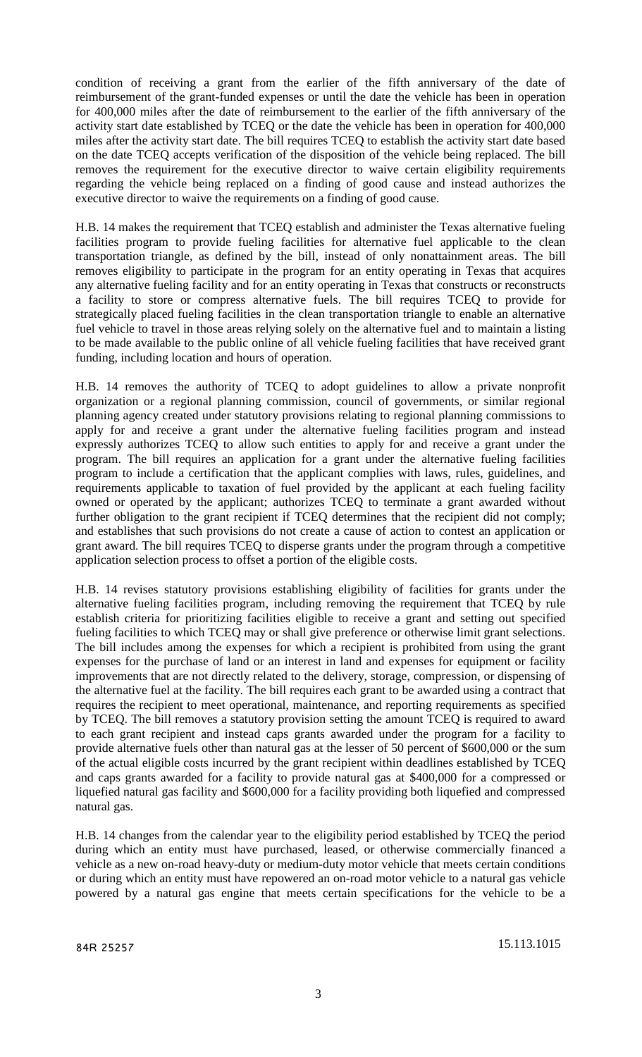condition of receiving a grant from the earlier of the fifth anniversary of the date of reimbursement of the grant-funded expenses or until the date the vehicle has been in operation for 400,000 miles after the date of reimbursement to the earlier of the fifth anniversary of the activity start date established by TCEQ or the date the vehicle has been in operation for 400,000 miles after the activity start date. The bill requires TCEQ to establish the activity start date based on the date TCEQ accepts verification of the disposition of the vehicle being replaced. The bill removes the requirement for the executive director to waive certain eligibility requirements regarding the vehicle being replaced on a finding of good cause and instead authorizes the executive director to waive the requirements on a finding of good cause.

H.B. 14 makes the requirement that TCEQ establish and administer the Texas alternative fueling facilities program to provide fueling facilities for alternative fuel applicable to the clean transportation triangle, as defined by the bill, instead of only nonattainment areas. The bill removes eligibility to participate in the program for an entity operating in Texas that acquires any alternative fueling facility and for an entity operating in Texas that constructs or reconstructs a facility to store or compress alternative fuels. The bill requires TCEQ to provide for strategically placed fueling facilities in the clean transportation triangle to enable an alternative fuel vehicle to travel in those areas relying solely on the alternative fuel and to maintain a listing to be made available to the public online of all vehicle fueling facilities that have received grant funding, including location and hours of operation.

H.B. 14 removes the authority of TCEQ to adopt guidelines to allow a private nonprofit organization or a regional planning commission, council of governments, or similar regional planning agency created under statutory provisions relating to regional planning commissions to apply for and receive a grant under the alternative fueling facilities program and instead expressly authorizes TCEQ to allow such entities to apply for and receive a grant under the program. The bill requires an application for a grant under the alternative fueling facilities program to include a certification that the applicant complies with laws, rules, guidelines, and requirements applicable to taxation of fuel provided by the applicant at each fueling facility owned or operated by the applicant; authorizes TCEQ to terminate a grant awarded without further obligation to the grant recipient if TCEQ determines that the recipient did not comply; and establishes that such provisions do not create a cause of action to contest an application or grant award. The bill requires TCEQ to disperse grants under the program through a competitive application selection process to offset a portion of the eligible costs.

H.B. 14 revises statutory provisions establishing eligibility of facilities for grants under the alternative fueling facilities program, including removing the requirement that TCEQ by rule establish criteria for prioritizing facilities eligible to receive a grant and setting out specified fueling facilities to which TCEQ may or shall give preference or otherwise limit grant selections. The bill includes among the expenses for which a recipient is prohibited from using the grant expenses for the purchase of land or an interest in land and expenses for equipment or facility improvements that are not directly related to the delivery, storage, compression, or dispensing of the alternative fuel at the facility. The bill requires each grant to be awarded using a contract that requires the recipient to meet operational, maintenance, and reporting requirements as specified by TCEQ. The bill removes a statutory provision setting the amount TCEQ is required to award to each grant recipient and instead caps grants awarded under the program for a facility to provide alternative fuels other than natural gas at the lesser of 50 percent of \$600,000 or the sum of the actual eligible costs incurred by the grant recipient within deadlines established by TCEQ and caps grants awarded for a facility to provide natural gas at \$400,000 for a compressed or liquefied natural gas facility and \$600,000 for a facility providing both liquefied and compressed natural gas.

H.B. 14 changes from the calendar year to the eligibility period established by TCEQ the period during which an entity must have purchased, leased, or otherwise commercially financed a vehicle as a new on-road heavy-duty or medium-duty motor vehicle that meets certain conditions or during which an entity must have repowered an on-road motor vehicle to a natural gas vehicle powered by a natural gas engine that meets certain specifications for the vehicle to be a

84R 25257 15.113.1015